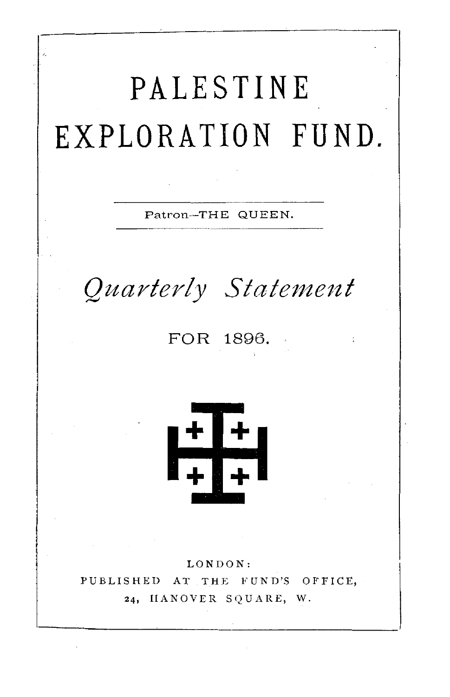# **PALESTINE EXPLORATION FUND.**

Patron-THE QUEEN.

*Quarterly Statenze1it* 

FOR 1896.



LONDON: PUBLISHED AT THE FUND'S OFFICE, 24, HANOVER SQUARE, W.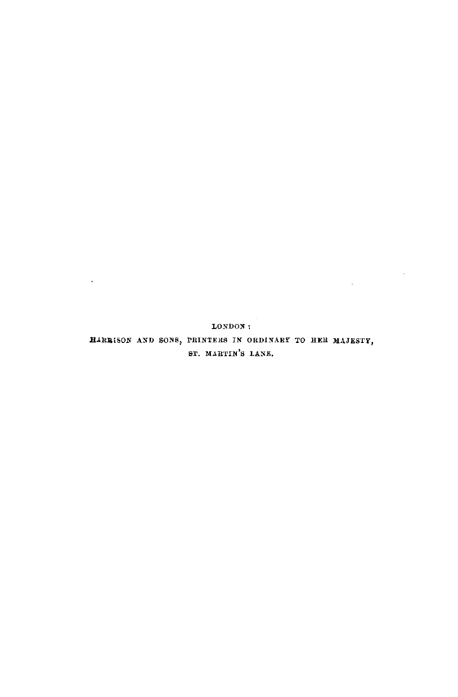LONDON:

 $\ddot{\phantom{0}}$ 

 $\sim$ 

HARRISON AND SONS, PRINTERS IN ORDINARY TO HER MAJESTY, ST. MARTIN'S LANE.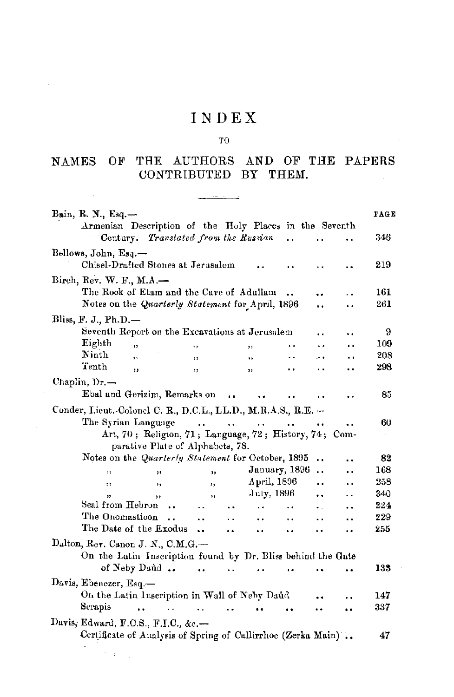### INDEX

#### TO **T**

#### NAMES OF THE AUTHORS AND OF THE PAPERS CONTRIBUTED BY THEM.

**Contractor** 

| Bain, R. N., Esq.-                       | Armenian Description of the Holy Places in the Seventh<br>Century. Translated from the Russian |                          |                      | $\ddot{\phantom{a}}$ |                                              |     | PAGE<br>346 |
|------------------------------------------|------------------------------------------------------------------------------------------------|--------------------------|----------------------|----------------------|----------------------------------------------|-----|-------------|
| Bellows, John, Esq.-                     | Chisel-Drafted Stones at Jerusalem                                                             |                          |                      |                      |                                              |     | 219         |
| Birch, Rev. W. F., M.A.-                 | The Rock of Etam and the Cave of Adullam<br>Notes on the Quarterly Statement for April, 1896   |                          |                      | $\ddot{\phantom{a}}$ |                                              | . . | 161<br>261  |
| Bliss, $F. J., Ph.D.$                    |                                                                                                |                          |                      |                      |                                              |     |             |
|                                          | Seventh Report on the Excavations at Jerusalem                                                 |                          |                      |                      | . .                                          | ٠.  | 9           |
| Eighth                                   | $\overline{\mathbf{z}}$                                                                        | .,                       | ,                    |                      |                                              |     | 109         |
| Ninth                                    | ,,                                                                                             | ,,                       | ,,                   |                      |                                              | . . | 203         |
| Tenth                                    | 55                                                                                             | , ,                      | $, \,$               |                      |                                              |     | 298         |
| Chaplin, Dr.—                            |                                                                                                |                          |                      |                      |                                              |     |             |
|                                          | Ebal and Gerizim, Remarks on                                                                   | $\ddot{\phantom{1}}$     |                      |                      |                                              |     | 85          |
|                                          | Conder, Lieut.-Colonel C. R., D.C.L., LL.D., M.R.A.S., R.E. --                                 |                          |                      |                      |                                              |     |             |
|                                          | The Syrian Language                                                                            |                          |                      |                      |                                              |     |             |
|                                          |                                                                                                |                          | $\ddot{\phantom{a}}$ |                      | $\ddot{\phantom{0}}$                         |     | 60          |
|                                          | Art, 70; Religion, 71; Language, 72; History, 74; Com-<br>parative Plate of Alphabets, 78.     |                          |                      |                      |                                              |     |             |
|                                          | Notes on the Quarterly Statement for October, 1895                                             |                          |                      |                      |                                              |     | 82          |
|                                          |                                                                                                |                          | January, 1896        |                      | $\ddot{\phantom{a}}$<br>$\ddot{\phantom{a}}$ |     | 168         |
| 11                                       | ,                                                                                              | $\overline{\mathbf{1}}$  | April, 1896          |                      |                                              | . . | 258         |
| ,,                                       | , ,                                                                                            | $, \, \cdot$             | July, 1896           |                      |                                              | . . | 340         |
| $\ddot{\phantom{1}}$<br>Seal from Hebron | $\mathbf{y}$                                                                                   | $\overline{\mathbf{y}}$  |                      |                      |                                              | . . | 224         |
| The Onomasticon                          | $\ddot{\phantom{a}}$                                                                           | <br>$\ddot{\phantom{1}}$ | $\ddot{\phantom{0}}$ |                      |                                              |     | 229         |
|                                          | $\overline{a}$<br>The Date of the Exodus                                                       | . .                      |                      | . .                  |                                              |     |             |
|                                          |                                                                                                | $\ddot{\phantom{0}}$     | $\ddot{\phantom{0}}$ | $\ddot{\phantom{1}}$ | . .                                          | . . | 255         |
|                                          | Dalton, Rev. Canon J. N., C.M.G.-                                                              |                          |                      |                      |                                              |     |             |
|                                          | On the Latin Inscription found by Dr. Bliss behind the Gate                                    |                          |                      |                      |                                              |     |             |
|                                          | of Neby Daud                                                                                   | $\ddot{\phantom{a}}$     |                      |                      |                                              |     | 133         |
| Davis, Ebenezer, Esq.-                   |                                                                                                |                          |                      |                      |                                              |     |             |
|                                          | On the Latin Inscription in Wall of Neby Daud                                                  |                          |                      |                      |                                              |     | 147         |
| Serapis                                  |                                                                                                |                          |                      |                      | . .                                          | å.  | 337         |
|                                          | Davis, Edward, F.O.S., F.I.C., &c.-                                                            |                          |                      |                      |                                              |     |             |
|                                          | Certificate of Analysis of Spring of Callirrhoe (Zerka Main).                                  |                          |                      |                      |                                              |     | 47          |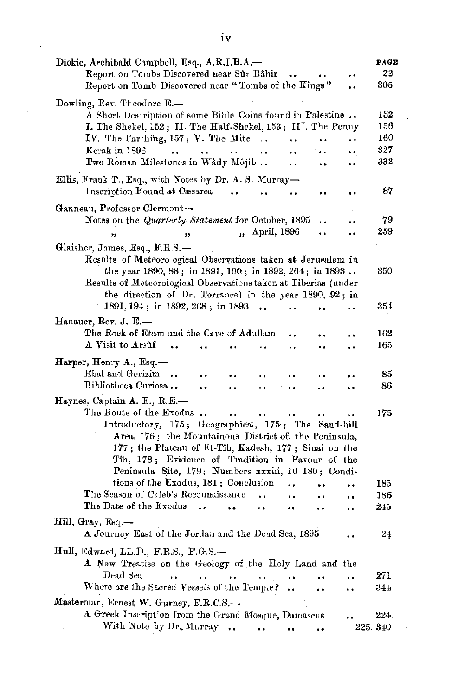| Dickie, Archibald Campbell, Esq., A.R.I.B.A.—                                                                          |                      | PAGE |  |  |  |  |
|------------------------------------------------------------------------------------------------------------------------|----------------------|------|--|--|--|--|
| Report on Tombs Discovered near Sûr Bâhir                                                                              |                      |      |  |  |  |  |
| Report on Tomb Discovered near "Tombs of the Kings"                                                                    |                      | 305  |  |  |  |  |
| Dowling, Rev. Theodore E.-<br>A Short Description of some Bible Coins found in Palestine                               |                      | 152  |  |  |  |  |
| I. The Shekel, 152; II. The Half-Shekel, 153; III. The Penny                                                           |                      | 156  |  |  |  |  |
| IV. The Farthing, 157; V. The Mite<br>$\sim$                                                                           |                      | 160  |  |  |  |  |
| Kerak in 1896<br>$\ddot{\phantom{a}}$<br>$\ddot{\phantom{0}}$<br>Ω,<br>٠.<br>$\ddot{\phantom{a}}$                      | $\ddot{\phantom{0}}$ | 327  |  |  |  |  |
| Two Roman Milestones in Wâdy Môjib<br>. .<br>$\ddot{\phantom{0}}$                                                      |                      | 332  |  |  |  |  |
| Ellis, Frank T., Esq., with Notes by Dr. A. S. Murray—<br>Inscription Found at Cæsarea<br>$\ddot{\phantom{0}}$<br>     |                      | 87   |  |  |  |  |
| Ganneau, Professor Clermont-                                                                                           |                      |      |  |  |  |  |
| Notes on the Quarterly Statement for October, 1895                                                                     |                      | 79   |  |  |  |  |
| " April, 1896<br>$\ddot{\phantom{a}}$<br>,,                                                                            |                      | 259  |  |  |  |  |
| Glaisher, James, Esq., F.R.S.-                                                                                         |                      |      |  |  |  |  |
| Results of Meteorological Observations taken at Jerusalem in                                                           |                      |      |  |  |  |  |
| the year 1890, 88; in 1891, 190; in 1892, 264; in 1893                                                                 |                      | 350  |  |  |  |  |
| Results of Meteorological Observations taken at Tiberias (under                                                        |                      |      |  |  |  |  |
| the direction of Dr. Torrance) in the year 1890, 92; in                                                                |                      |      |  |  |  |  |
| $1891, 194$ ; in 1892, 268; in 1893<br>$\ddot{\phantom{a}}$                                                            |                      | 354  |  |  |  |  |
| Hanauer, Rev. J. E.—                                                                                                   |                      |      |  |  |  |  |
| The Rock of Etam and the Cave of Adullam<br>٠.                                                                         |                      | 162  |  |  |  |  |
| A Visit to Arsûf<br>$\ddot{\phantom{a}}$<br>. .<br>٠.<br>                                                              | . .                  | 165  |  |  |  |  |
| Harper, Henry A., Esq.-                                                                                                |                      |      |  |  |  |  |
| Ebal and Gerizim<br>$\rightarrow$<br>$\ddot{\phantom{0}}$<br>$\ddot{\phantom{0}}$                                      |                      | 85   |  |  |  |  |
| Bibliotheca Curiosa<br>$\ddot{\phantom{0}}$<br><br>. .                                                                 |                      | 86   |  |  |  |  |
| Haynes, Captain A. E., R.E.-                                                                                           |                      |      |  |  |  |  |
| The Route of the Exodus<br>. .                                                                                         |                      | 175  |  |  |  |  |
| Introductory, 175; Geographical, 175; The Sand-hill                                                                    |                      |      |  |  |  |  |
| Area, 176; the Mountainous District of the Peninsula,                                                                  |                      |      |  |  |  |  |
| 177; the Plateau of Et-Tib, Kadesh, 177; Sinai on the                                                                  |                      |      |  |  |  |  |
| Tih, 178; Evidence of Tradition in Favour of the<br>Peninsula Site, 179; Numbers xxxiii, 10–180; Condi-                |                      |      |  |  |  |  |
| tions of the Exodus, 181; Conclusion<br>                                                                               |                      | 185  |  |  |  |  |
| The Season of Caleb's Reconnaissance<br>٠.                                                                             | . .                  | 186  |  |  |  |  |
| The Date of the Exodus                                                                                                 |                      | 245  |  |  |  |  |
| $Hill, Gray, Esq -$<br>A Journey East of the Jordan and the Dead Sea, 1895                                             |                      | 24   |  |  |  |  |
| Hull, Edward, LL.D., F.R.S., F.G.S.-                                                                                   |                      |      |  |  |  |  |
| A New Treatise on the Geology of the Holy Land and the<br>Dead Sea<br><b>Contract Contract</b><br>$\ddot{\phantom{a}}$ |                      | 271  |  |  |  |  |
| $\ddot{\phantom{a}}$<br>Where are the Sacred Vessels of the Temple?<br>$\ddot{\phantom{0}}$                            | <br>                 | 34 L |  |  |  |  |
|                                                                                                                        |                      |      |  |  |  |  |
| Masterman, Ernest W. Gurney, F.R.C.S.-<br>A Greek Inscription from the Grand Mosque, Damascus                          |                      | 224  |  |  |  |  |
| With Note by Dr. Marray<br>$\ddot{\phantom{0}}$<br>                                                                    | 225, 340             |      |  |  |  |  |
| $\ddot{\phantom{0}}$                                                                                                   |                      |      |  |  |  |  |

 $\bar{\beta}$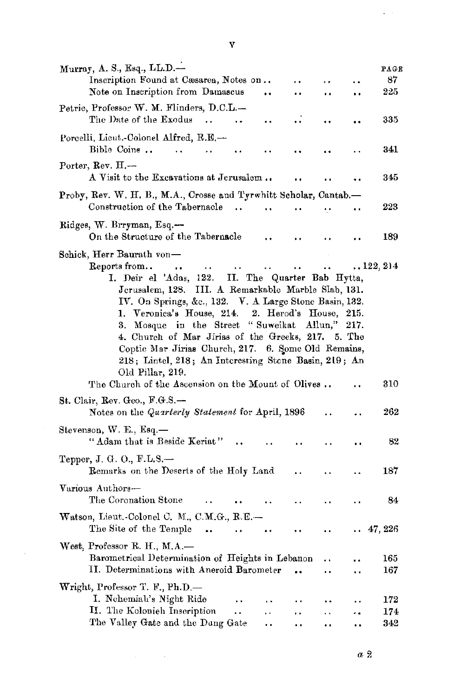| Murray, A. S., Esq., LL.D.-<br>Inscription Found at Cæsarea, Notes on                               |                      |                      |                        |                      | . .                  | PAGE<br>87       |
|-----------------------------------------------------------------------------------------------------|----------------------|----------------------|------------------------|----------------------|----------------------|------------------|
| Note on Inscription from Damascus                                                                   |                      | $\ddot{\phantom{0}}$ |                        |                      |                      | 225              |
| Petrie, Professor W. M. Flinders, D.C.L.-<br>The Date of the Exodus<br>$\ddot{\phantom{a}}$         |                      |                      |                        |                      |                      | 335              |
| Porcelli, Lieut.-Colonel Alfred, R.E.-<br>Bible Coine                                               |                      |                      |                        |                      |                      | 341              |
| Porter, $\text{Rev. } H$ .<br>A Visit to the Excavations at Jerusalem                               |                      |                      |                        |                      |                      | 345              |
| Proby, Rev. W. H. B., M.A., Crosse and Tyrwhitt Scholar, Cantab.-<br>Construction of the Tabernacle | $\ddot{\phantom{a}}$ |                      |                        | ٠,                   | ٠.                   | 223              |
| Ridges, W. Brryman, Esq.-<br>On the Structure of the Tabernacle                                     |                      |                      |                        |                      |                      | 189              |
| Schick, Herr Baurath von-                                                                           |                      |                      |                        |                      |                      |                  |
| Reports from<br>$\ddot{\phantom{0}}$<br>. .                                                         | $\ddot{\phantom{1}}$ | $\ddot{\phantom{1}}$ | $\ddot{\phantom{0}}$   | $\ddot{\phantom{a}}$ |                      | $\dots$ 122, 214 |
| I. Deir el 'Adas, 122. II. The Quarter Bab Hytta,                                                   |                      |                      |                        |                      |                      |                  |
| Jerusalem, 128. III. A Remarkable Marble Slab, 131.                                                 |                      |                      |                        |                      |                      |                  |
| IV. On Springs, &c., 132. V. A Large Stone Basin, 132.                                              |                      |                      |                        |                      |                      |                  |
| 1. Veronica's House, 214.                                                                           |                      |                      | 2. Herod's House, 215. |                      |                      |                  |
| 3. Mosque in the Street "Suweikat Allun," 217.                                                      |                      |                      |                        |                      |                      |                  |
| 4. Church of Mar Jirias of the Greeks, 217.                                                         |                      |                      |                        |                      | 5. The               |                  |
|                                                                                                     |                      |                      |                        |                      |                      |                  |
| Coptic Mar Jirias Church, 217. 6. Some Old Remains,                                                 |                      |                      |                        |                      |                      |                  |
| 218; Lintel, 218; An Interesting Stone Basin, 219; An                                               |                      |                      |                        |                      |                      |                  |
| Old Pillar, 219.                                                                                    |                      |                      |                        |                      |                      |                  |
| The Church of the Ascension on the Mount of Olives                                                  |                      |                      |                        |                      | $\ddot{\phantom{a}}$ | 310              |
| St. Clair, Rev. Geo., F.G.S.-                                                                       |                      |                      |                        |                      |                      |                  |
| Notes on the Quarterly Statement for April, 1896                                                    |                      |                      |                        | $\ddot{\phantom{0}}$ | . .                  | 262              |
| Stevenson, W. E., Esq.-                                                                             |                      |                      |                        |                      |                      |                  |
| " Adam that is Beside Keriat"                                                                       |                      |                      | . .                    | . .                  |                      | 82               |
|                                                                                                     |                      |                      |                        |                      |                      |                  |
| Tepper, J. G. O., F.L.S.-                                                                           |                      |                      |                        |                      |                      |                  |
| Remarks on the Deserts of the Holy Land                                                             |                      |                      | $\ddot{\phantom{a}}$   |                      |                      | 187              |
| Various Authors-                                                                                    |                      |                      |                        |                      |                      |                  |
| The Coronation Stone                                                                                |                      |                      |                        | $\ddot{\phantom{0}}$ |                      | 84               |
|                                                                                                     |                      |                      |                        |                      |                      |                  |
| Watson, Lieut.-Colonel C. M., C.M.G., R.E.-<br>The Site of the Temple<br>                           |                      |                      |                        |                      |                      | 47, 226          |
| West, Professor R. H., M.A.-                                                                        |                      |                      |                        |                      |                      |                  |
| Barometrical Determination of Heights in Lebanon                                                    |                      |                      |                        |                      |                      | 165              |
| II. Determinations with Aneroid Barometer                                                           |                      |                      |                        |                      | ٠.                   | 167              |
|                                                                                                     |                      |                      |                        |                      |                      |                  |
| Wright, Professor T. F., Ph.D.-                                                                     |                      |                      |                        |                      |                      |                  |
| I. Nehemiah's Night Ride                                                                            | $\ddot{\phantom{1}}$ |                      |                        |                      |                      | 172              |
| II. The Kolonieh Inscription                                                                        | $\ddot{\phantom{a}}$ | . .                  |                        | $\ddot{\phantom{0}}$ |                      | 174              |
| The Valley Gate and the Dung Gate                                                                   |                      | . .                  | ٠.                     |                      |                      | 342              |

 $\sim 10^{11}$  and  $\sim 10^{11}$ 

 $\sim 10^6$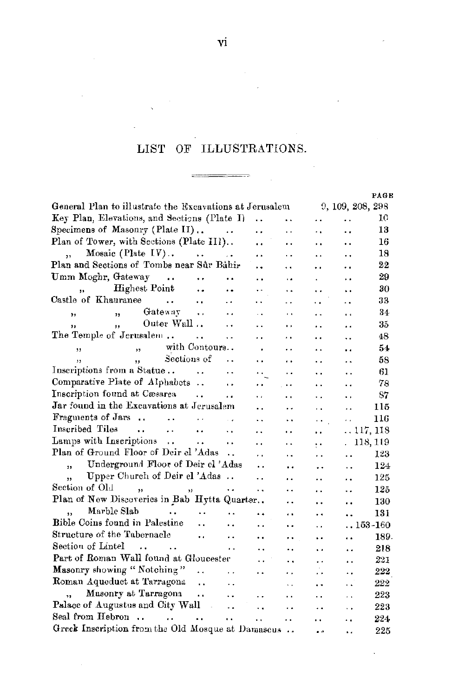## LIST OF ILLUSTRATIONS.

 $\overline{\phantom{0}}$ 

 $\begin{tabular}{cccccc} \multicolumn{2}{c}{} & \multicolumn{2}{c}{} & \multicolumn{2}{c}{} & \multicolumn{2}{c}{} & \multicolumn{2}{c}{} & \multicolumn{2}{c}{} & \multicolumn{2}{c}{} & \multicolumn{2}{c}{} & \multicolumn{2}{c}{} & \multicolumn{2}{c}{} & \multicolumn{2}{c}{} & \multicolumn{2}{c}{} & \multicolumn{2}{c}{} & \multicolumn{2}{c}{} & \multicolumn{2}{c}{} & \multicolumn{2}{c}{} & \multicolumn{2}{c}{} & \multicolumn{2}{c}{} & \multicolumn{2}{c}{} & \mult$ 

|                                                                                                                      |                             |                      |                          | PAGE     |
|----------------------------------------------------------------------------------------------------------------------|-----------------------------|----------------------|--------------------------|----------|
| General Plan to illustrate the Excavations at Jerusalem                                                              |                             |                      | 9, 109, 208, 298         |          |
| Key Plan, Elevations, and Sections (Plate I)<br>$\ddot{\phantom{a}}$                                                 | . .                         | . .                  | . .                      | 10       |
| Specimens of Masonry (Plate II)<br>. .                                                                               | . .                         | ٠.                   | . .                      | 13       |
| Plan of Tower, with Sections (Plate III)<br>. .                                                                      | . .                         | . .                  | . .                      | 16       |
| Mosaic (Plate $IV$ )<br>$\ddot{\phantom{a}}$<br>                                                                     | . .                         | . .                  | . .                      | 18       |
| Plan and Sections of Tombs near Sûr Bâhir<br>. .                                                                     | $\ddot{\phantom{1}}$        | . .                  | . .                      | 22       |
| Umm Moghr, Gateway<br>$\cdot$ $\cdot$<br>$\ddot{\phantom{a}}$                                                        | $\ddot{\phantom{0}}$        | $\ddot{\phantom{0}}$ | . .                      | 29       |
| Highest Point<br>$\ddot{\phantom{0}}$<br><br>$\ddot{\phantom{1}}$                                                    | $\ddot{\phantom{0}}$        | . .                  | . .                      | 30       |
| Castle of Khauranee.<br>$\cdots$<br>$\cdot$<br>. .                                                                   | $\cdot$ .                   | . .                  | . .                      | 33       |
| Gateway<br>$\ddot{\phantom{0}}$<br>$, \qquad, \qquad, \qquad$<br>$\ddot{\phantom{0}}$                                | . .                         | . .                  | . .                      | 34       |
| $\ldots$ Outer Wall $\ldots$<br>$\ddot{\phantom{0}}$<br>$\ddot{\phantom{a}}$<br>,,                                   | $\cdot$                     | . .                  | . .                      | 35       |
| The Temple of Jerusalem<br>$\ddot{\phantom{0}}$<br>$\cdot$ $\cdot$                                                   | . .                         | . .                  | ٠.                       | 48       |
| " with Contours<br>$\cdot$<br>,,                                                                                     | $\ddot{\phantom{0}}$        | . .                  | . .                      | 54       |
| Sections of<br>$\ddots$<br>$\overline{\mathbf{v}}$<br>$\ddot{\phantom{a}}$<br>, 1, 3                                 | $\ddot{\phantom{0}}$        | $\ddot{\phantom{0}}$ | . .                      | 58       |
| Inscriptions from a Statue<br>$\ddot{\phantom{0}}$                                                                   | $\ddot{\phantom{0}}$<br>. . |                      | . .                      | 61       |
| Comparative Plate of Alphabets<br>$\ddot{\phantom{1}}$<br>.,                                                         | $\cdot \cdot$               | $\ddot{\phantom{0}}$ | . .                      | 78       |
| Inscription found at Cæsarea<br>. .<br>$\ddot{\phantom{0}}$                                                          | . .                         | $\ddot{\phantom{0}}$ | $\ddot{\phantom{0}}$     | 87       |
| Jar found in the Excavations at Jerusalem<br>$\ddot{\phantom{a}}$                                                    | $\cdot$ $\cdot$             | . .                  | . .                      | 115      |
| Fragments of Jars<br>$\ddot{\phantom{0}}$<br>$\ddot{\phantom{a}}$                                                    | $\ddot{\phantom{0}}$        | $\cdots$             | . .                      | 116      |
| Inscribed Tiles<br>$\cdots$ $\cdots$<br>$\cdot$ . The set of $\cdot$<br>$\ddot{\phantom{0}}$<br>$\ddot{\phantom{0}}$ | $\ddot{\phantom{0}}$        | $\ddot{\phantom{0}}$ | 117,118                  |          |
| Lamps with Inscriptions<br>$\ddot{\phantom{0}}$<br>$\ddot{\phantom{a}}$                                              | . .                         | . .                  | $\overline{\phantom{a}}$ | 118, 119 |
| Plan of Ground Floor of Deir el 'Adas<br>$\ddot{\phantom{a}}$<br>$\ddot{\phantom{a}}$                                | ٠.                          | . .                  | $\ddot{\phantom{0}}$     | 123      |
| Underground Floor of Deir el 'Adas<br>$\ddot{\phantom{0}}$                                                           | . .                         | . .                  | . .                      | 124      |
| Upper Church of Deir el 'Adas<br>$\ddot{\phantom{0}}$                                                                | . .                         | . .                  | . .                      | 125      |
| Section of Old<br>$\overline{\mathbf{v}}$<br>$\overline{\phantom{1}}$<br>٠.<br>$\ddot{\phantom{a}}$                  | . .                         | . .                  |                          | 125      |
| Plan of New Discoveries in Bab Hytta Quarter                                                                         | . .                         | . .                  |                          | 130      |
| Marble Slab<br>$\sim$ $\sim$ $\sim$<br>$\ddot{\phantom{0}}$<br>$\ddot{\phantom{0}}$<br>$\ddot{\phantom{1}}$          | . .                         | . .                  |                          | 131      |
| Bible Coins found in Palestine<br>. .<br>. .<br>. .                                                                  |                             | $\ddot{\phantom{0}}$ | $.153 - 160$             |          |
| Structure of the Tabernacle<br><br>. .<br>$\cdot$ .                                                                  | . .                         | . .                  | . .                      | 189.     |
| Section of Lintel<br>$\ddot{\phantom{a}}$<br>$\ddot{\phantom{a}}$<br>. .<br>                                         | . .                         | $\ddot{\phantom{0}}$ | . .                      | 218      |
| Part of Roman Wall found at Gloucester<br>$\ddot{\phantom{0}}$                                                       | . .                         | $\cdot$ $\cdot$      | . .                      | 221      |
| Masonry showing "Notching"<br>$\ddot{\phantom{0}}$<br>. .                                                            | . .                         | $\cdot$ .            | . .                      | 222      |
| Roman Aqueduct at Tarragona<br>$\ddot{\phantom{0}}$                                                                  | $\ddot{\phantom{0}}$        | . .                  | . .                      | 222      |
| Masonry at Tarragona<br>$\ddot{\phantom{0}}$<br>$\ddotsc$                                                            | . .                         | $\ddot{\phantom{0}}$ | $\ddot{\phantom{0}}$     | 223      |
| Palace of Augustus and City Wall<br>$\ddotsc$<br>$\sim$ $\sim$                                                       | . .                         | $\cdot$ $\cdot$      | $\ddot{\phantom{0}}$     | 223      |
| $\ddot{\phantom{0}}$                                                                                                 | $\ddot{\phantom{0}}$        | . .                  | . .                      | 224      |
| Greek Inscription from the Old Mosque at Damascus                                                                    | $\cdot$                     | $\bullet$            | $\sim$                   | 225      |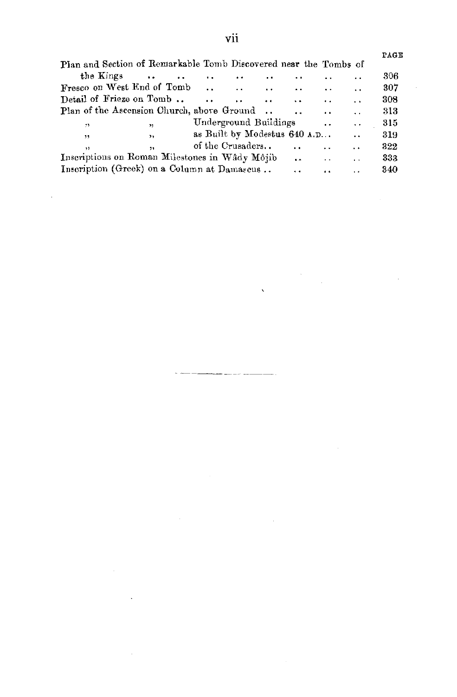|                                                                  |           |           |                              |           |                            |                      |                      | $_{\rm {PAGE}}$ |
|------------------------------------------------------------------|-----------|-----------|------------------------------|-----------|----------------------------|----------------------|----------------------|-----------------|
| Plan and Section of Remarkable Tomb Discovered near the Tombs of |           |           |                              |           |                            |                      |                      |                 |
|                                                                  | the Kings | $\cdot$ . | $\cdot$ .                    | $\cdot$ . |                            |                      |                      | 306             |
| $F$ resco on West End of Tomb                                    |           |           |                              | $\cdot$ . | $\ddot{\phantom{0}}$       | $\ddot{\phantom{a}}$ | $\ddot{\phantom{0}}$ | 307             |
| Detail of Frieze on Tomb                                         |           |           |                              |           | $\cdots$ $\cdots$ $\cdots$ | $\cdot$ .            | $\ddot{\phantom{0}}$ | 308             |
| Plan of the Ascension Church, above Ground                       |           |           |                              |           |                            | $\cdot$              | $\ddot{\phantom{0}}$ | 313             |
| ,,                                                               | "         |           | Underground Buildings        |           |                            | $\ddot{\phantom{a}}$ | $\ddot{\phantom{0}}$ | 315             |
| 71                                                               | $, \,$    |           | as Built by Modestus 640 A.D |           |                            |                      | $\ddotsc$            | 319             |
| ,                                                                | $, \,$    |           | of the Crusaders             |           | $\ddot{\phantom{0}}$       | $\ddot{\phantom{a}}$ | $\ddot{\phantom{0}}$ | 322             |
| Inscriptions on Roman Milestones in Wâdy Môjib                   |           |           |                              |           | $\ddot{\phantom{a}}$       | $\ddot{\phantom{a}}$ | $\ddot{\phantom{a}}$ | 333             |
| Inscription (Greek) on a Column at Damascus                      |           |           |                              |           | $\ddot{\phantom{1}}$       | $\ddot{\phantom{1}}$ | $\ddot{\phantom{0}}$ | 340             |

 $\ddot{\phantom{0}}$ 

J.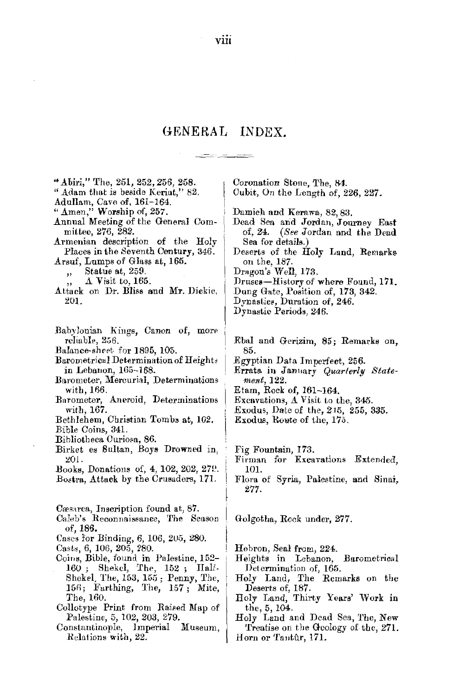#### GENERAL INDEX.

"Abiri," The, 251, 252, 256, 258. " Adam that is beside Keriat," 82. Adullam, Cave of, 161-164.<br>"Amen," Worship of, 257. Annual Meeting of the General Committee, 276, 282. Armenian description of the Holy Places in the Seventh Century, 346. Arsuf, Lumps of Glass at, 165. Statue at, 259.  $\ddot{\phantom{0}}$  $\Lambda$  Visit to, 165.  $,$ Attack on Dr. Bliss and Mr. Dickie. 201. Babylonian Kings, Canon of, more reliable, 256. Balance-sheet for 1895, 105. Barometrical Determination of Heights in Lebanon, 165-168. Barometer, Mercurial, Determinations with, 166. Barometer, Aneroid, Determinations with, 167. Bethlehem, Christian Tombs at, 102. Bible Coins, 341. Bibliotheca Curiosa, 86. Birket es Sultan, Boys Drowned in, 201. Books, Donations of, 4, 102, 202, 279. Bostra, Attack by the Crusaders, 171. Cæsarea, Inscription found at, 87. Caleb's Reconnaissance, The Season of, 186. Cases for Binding, 6, 106, 205, 280. Casts, 6, 106, 205, 280. Coins, Bible, found in Palestine, 152-<br>160; Shekel, The, 152; Half-Shekel, The, 153, 155; Penny, The, 156; Farthing, The, 157; Mite, The, 160. Collotype Print from Raised Map of Palestine, 5, 102, 203, 279. Constantinople, Imperial Museum, Relations with, 22.

Coronation Stone, The, 84.

Cubit, On the Length of, 226, 227.

Damieh and Kerawa, 82, 83.

Dead Sea and Jordan, Journey East of, 24. (See Jordan and the Dead Sea for details.)

Deserts of the Holy Land, Remarks on the, 187.

Dragon's Well, 173.

Druses-History of where Found, 171.

Dung Gate, Position of, 173, 342.

Dynasties, Duration of, 246.

Dynastic Periods, 246.

Ebal and Gerizim, 85; Remarks on, 85.

Egyptian Data Imperfect, 256.

Errata in January Quarterly Statement, 122.

Etam, Rock of, 161-164.

- Excavations, A Visit to the, 345.
- Exodus, Date of the, 215, 255, 335.
- Exodus, Route of the, 175.

Fig Fountain, 173.

Firman for Excavations Extended. 101.

Flora of Syria, Palestine, and Sinai. 277.

Golgotha, Rock under, 277.

Hebron, Seal from, 224.

- Heights in Lebanon, Barometrical Determination of, 165.
- Holy Land. The Remarks on the Deserts of, 187.
- Holy Land, Thirty Years' Work in the, 5, 104.

Holy Land and Dead Sea, The, New Treatise on the Geology of the, 271. Horn or Tantur, 171.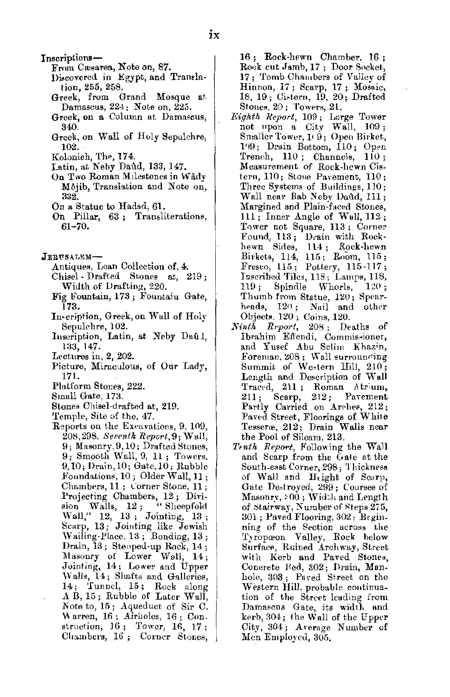Inscriptions-

- From Cæsarea, Note on, 87.
- Discovered in Egypt, and Translation, 255, 258
- Greek, from Grand Mosque at Damascus, 224; Note on, 225.
- Greek, on a Column at Damascus. 340.
- Greek, on Wall of Holy Sepulchre. 102.
- Kolonich, The, 174.
- Latin, at Neby Daûd, 133, 147.
- On Two Roman Milestones in Wâdv Môjib, Translation and Note on, 332.
- On a Statue to Hadad, 61.
- On Pillar, 63: Transliterations.  $61 - 70.$
- JERUSALEM-
	- Antiques, Loan Collection of, 4.
	- Chisel Drafted Stones at, 219; Width of Drafting, 220.
	- Fig Fountain, 173; Fountaiu Gate, 173.
	- Inscription, Greek, on Wall of Holy Sepulchre, 102.
	- Inscription, Latin, at Neby Daul. 133, 147.
	- Lectures in, 2, 202.
	- Picture. Miraculous, of Our Lady. 171.
	- Platform Stones, 222.
	- Small Gate, 173.
	- Stones Chisel-drafted at, 219.
	- Temple, Site of the, 47.
	- Reports on the Excavations, 9, 109.  $208, 298$ , Seventh Report,  $9,$  Wall. 9; Masonry, 9, 10; Drafted Stones, 9; Smooth Wall, 9, 11; Towers, 9.10; Drain, 10; Gate, 10; Rubble Foundations, 10; Older Wall, 11: Chambers 11; Corner Stone, 11; Projecting Chambers, 12; Divi-<br>sion Walls, 12; "Sheepfold sion Walls, 12; "Sheepfold<br>Wall," 12, 13; Jointing, 13; Scarp, 13; Jointing like Jewish Wailing-Place, 13; Bonding, 13: Drain, 13; Stenped-up Rock, 14; Masonry of Lower Well, 14;<br>Jointing, 14; Lower and Upper Walls, 14; Shafts and Galleries, 14; Tunnel, 15; Rock along  $\Lambda$  B, 15; Rubble of Later Wall, Note to, 15; Aqueduct of Sir C. Warren, 16, Airholes, 16; Construction, 16; Tower, 16, 17; Chambers, 16; Corner Stones,

16; Rock-hewn Chamber, 16; Rook cut Jamb, 17; Door Socket 17: Tomb Chambers of Valley of Hinnon, 17; Scarp, 17; Mosaic, 18, 19; Cistern, 19, 20; Drafted Stones, 20; Towers, 21.

- Eighth Report, 109; Large Tower not upon a City Wall, 109: Smaller Tower, 109: Open Birket. 199; Drain Bottom, 110; Open Trench, 110; Channels, 110; Measurement of Rock hewn Cistern. 110: Stone Pavement, 110; Three Systems of Buildings, 110; Wall near Bab Neby Daûd, 111; Margined and Plain-faced Stones. 111; Inner Angle of Wall, 112; Tower not Square, 113; Corner Found, 113; Drain with Rock-<br>hewn Sides, 114; Rock-hewn<br>Birkets, 114, 115; Room, 115; Fresco,  $115$ ; Pottery,  $115-117$ ; Inscribed Tiles, 118; Lamps, 118, 119; Spindle Whorls.  $120:$ Thumb from Statue, 120; Spearheads,  $120$ ; Nail and other Objects. 120; Coins, 120.
- Ninth Report, 208; Deaths - of Ibrahim Effendi. Commissioner. and Yusef Abu Selim Khazin. Foreman, 208; Wall surrounding Summit of Western Hill, 210; Length and Description of Wall Traced, 211; Roman Atrium, Scarp, Parement  $211:$  $212:$ Partly Carried on Arches, 212; Paved Street, Floorings of White Tesseræ, 212; Drain Walls near the Pool of Siloam, 213.
- Tenth Report, Following the Wall and Scarp from the Gate at the South-east Corner, 298: Thickness of Wall and Height of Scarp. Gate Destroved, 299: Courses of Masonry, : 00; Width and Length of Stairway, Number of Steps 275. 301; Paved Flooring, 302; Begin. ning of the Section across the Tyropæon Valley, Rock below Surface, Ruined Archway, Street with Kerb and Paved Stones. Concrete Bed, 302; Drain, Manhole, 303; Pared Street on the Western Hill, probable continuation of the Street leading from Damascus Gate, its width and kerb, 304; the Wall of the Upper City, 304; Average Number of Men Employed, 305.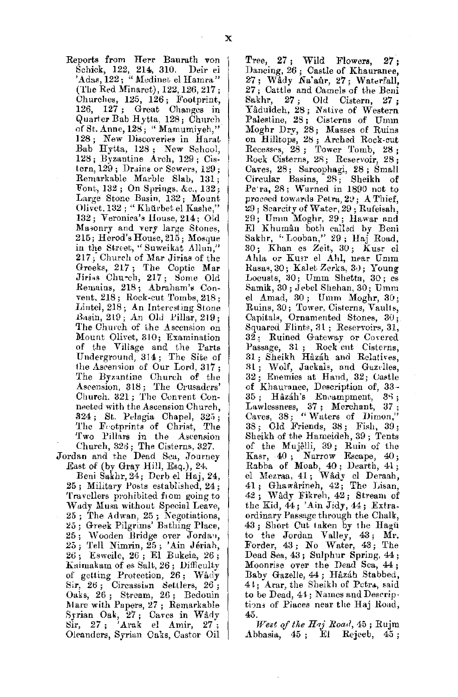Reports from Herr Baurath von Šchick, 122, 214, 310. Deir ei 'Adas, 122; "Medinet el Hamra" (The Red Minaret), 122, 126, 217; Churches, 125, 126; Footprint, 126, 127; Great Changes in<br>Quarter Bab Hytta, 128; Church of St. Anne, 128; "Mamumiveh," 128; New Discoveries in Harat Bab Hytta, 128; New School, 128; Byzantine Arch. 129: Cistern, 129; Drains or Sewers, 129; Remarkable Marble Slab, 131; Vont, 132; On Springs, &c., 132; Large Stone Basin, 132; Mount Olivet. 132 : "Khurbet el Kashe." 132: Veronica's House, 214: Old Masonry and very large Stones, 215; Herod's House, 215; Mosque in the Street, "Suweikat Allun," 217; Church of Mar Jirias of the Greeks, 217; The Coptic Mar Jirias Church, 217; Some Old Remains, 218; Abraham's Convent. 218; Rock-cut Tombs. 218: Lintel, 218; An Interesting Stone Basin, 219; An Old Pillar, 219; The Church of the Ascension on Mount Olivet. 310: Examination of the Village and the Parts Underground, 314; The Site of the Ascension of Our Lord, 317: The Byzantine Church of the Ascension, 318; The Crusaders' Church, 321; The Convent Connected with the Ascension Church. 324; St. Pelagia Chapel, 325;<br>The Feotprints of Christ, The Two Pillars in the Ascension Church, 326; The Cisterns, 327.<br>Jordan and the Dead Sea, Journey

East of (by Gray Hill, Esq.), 24.

Beni Sakhr, 24; Derb el Haj, 24, 25; Military Posts established, 24; Travellers prohibited from going to Wady Musa without Special Leave, 25; The Adwan, 25; Negotiations, 25; Greek Pilgrims' Bathing Place. 25; Wooden Bridge over Jordan,<br>25; Tell Nimrin, 25; 'Ain Jériah,<br>26; Esweile, 26; El Bukeia, 26; Kaimakam of es Salt, 26; Difficulty of getting Protection, 26; Wady Sir, 26; Circassian Settlers, 26; Oaks, 26; Stream, 26; Bedouin Mare with Papers, 27; Remarkable Syrian Oak, 27; Caves in Wâdy<br>Sir, 27; 'Arak el Amir, 27;<br>Oleanders, Syrian Oaks, Castor Oil

Tree. 27: Wild Flowers.  $27:$ Dancing, 26; Castle of Khauranee, 27; Wady Na'aûr, 27; Waterfall, 27; Cattle and Camels of the Beni Sakhr, 27; Old Cistern, 27; Yâduîdeh, 28; Native of Western<br>Palestine, 28; Cisterns of Umm Moghr Dry, 28; Masses of Ruins on Hilltops, 28; Arched Rock-cut Recesses, 28; Tower Tomb, 28;<br>Rock Cisterns, 28; Reservoir, 28; Caves, 28; Sarcophagi, 28; Small Circular Basins, 28, Sheikh of Pe ra, 28; Warned in 1890 not to proceed towards Petra, 29; A Thief, 29: Scarcity of Water, 29: Rufeisah. 29; Umm Moghr, 29; Hawar and El Khumân both called by Beni<br>Sakhr, "Looban," 29; Haj Road, 30; Khan es Zeit, 30; Kusr el Ahla or Kusr el Ahl, near Umm Rasas, 30; Kalet Zerka, 30; Young Locusts, 30; Umm Shetta, 30; es Samik, 30; Jebel Shehan, 30; Umm el Amad, 30; Umm Moghr, 30; Ruins, 30; Tower, Cisterns, Vaults, Capitals, Ornamented Stones, 30; Squared Flints, 31; Reservoirs, 31, 32: Ruined Gateway or Covered Passage, 31; Rock cut Cisterns, 31; Sheikh Hûzáh and Relatives, 31; Wolf, Jackals, and Gazelles, 32; Enemies at Hand, 32; Castle of Khauranee, Description of, 33-35; Hâzáh's Eneampment, 38; Lawlessness, 37; Merchant, 37; Cares, 38; "Waters of Dimon," 38; Old Friends, 38; Fish, 39;<br>Sheikh of the Hameideh, 39; Tents of the Mujelli, 39; Ruin of the Kasr, 40; Narrow Escape, 40; Rabba of Moab, 40; Dearth, 41;<br>el Mezraa, 41; Wâdy el Deraah,<br>41; Ghawârineh, 42; The Lisan, 42; Wâdy Fikreh, 42; Stream of the Kid, 44; 'Ain Jidy, 44; Extraordinary Passage through the Chalk, 43: Short Cut taken by the Hagu to the Jordan Valley, 43; Mr. Forder, 43; No Water, 43; The Dead Sea, 43: Sulphur Spring, 44: Moonrise over the Dead Sea, 44; Baby Gazelle, 44; Hâzáh Stabbed. 41; Arar, the Sheikh of Petra, said to be Dead, 41; Names and Descriptions of Places near the Haj Road,  $45.$ 

West of the Hnj Road, 45; Rujm Abbasia, 45, El Rejeeb, 45;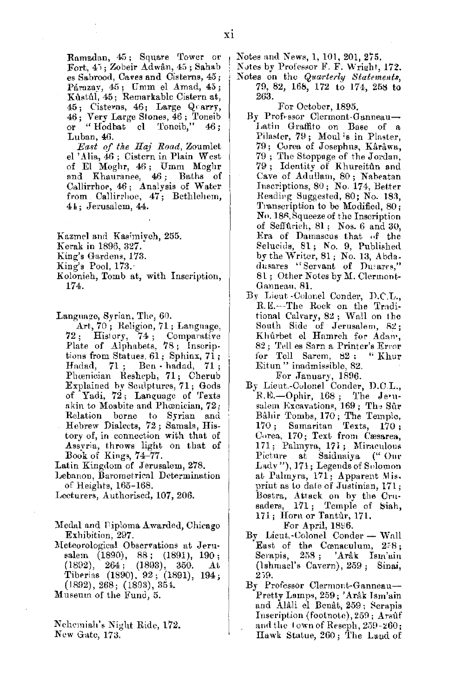Ramadan, 45; Square Tower or Fort. 45; Zobeir Adwân, 45; Sahab es Sabrood, Caves and Cisterns, 45; Párazav, 45; Umm el Amad, 45; Kûstûl, 45; Remarkable Cistern at, 45; Cisterns, 46; Large Qearry, 46: Very Large Stones, 46; Toneib "Hodbat" cl Toneib," 46; or. Luban, 46.

East of the Haj Road, Zoumlet el 'Alia, 46 ; Cistern in Plain West of El Moghr, 46; Umm Moghr Khauranee, 46; Baths of and Callirrhoe, 46; Analysis of Water from Callirrhoe, 47; Bethlehem, 44; Jerusalem, 44.

Kazmel and Kasimiyeh, 255.

Kerak in 1896, 327.

King's Gardens, 173.

King's Pool, 173.

Kolonieh, Tomb at, with Inscription, 174.

Language, Syrian, The, 60.

Art, 70; Religion, 71; Language, 72; History, 74; Comparative Plate of Alphabets, 78; Inscriptions from Statues, 61; Sphinx, 71; Ben hadad, 71;  $Hadd, 71:$ Phænician Resheph, 71; Cherub Explained by Sculptures, 71; Gods of Yadi, 72; Language of Texts akin to Moabite and Phœnician, 72; Relation borne to Syrian and Hebrew Dialects, 72; Samala, History of, in connection with that of Assyria, throws light on that of Book of Kings, 74-77.

Latin Kingdom of Jerusalem, 278.

Lebanon, Barometrical Determination of Heights, 165-168.

Lecturers, Authorised, 107, 206.

- Medal and Piploma Awarded, Chicago Exhibition, 297.
- Meteorological Observations at Jerusalem (1890), 88; (1891), 190;  $(1892), 264; (1893),$ -350. At Tiberias (1890), 92; (1891), 194;  $(1892), 268, (1893), 354.$ Museum of the Fund, 5.

Nehemiah's Night Ride, 172. New Gate, 173.

Notes and News, 1, 101, 201, 275.

Notes by Professor F. F. Wright, 172.

Notes on the Quarterly Statements, 79, 82, 168, 172 to 174, 258 to 263.

For October, 1895.

- By Prof-ssor Clermont-Ganneau-Latin Graffito on Base of a Pilaster, 79; Moul's in Plaster, 79; Corea of Josephus, Karawa, 79; The Stoppage of the Jordan, 79; Identity of Khureitûn and Cave of Adullam, 80; Nabeatan Inscriptions, 80; No. 174, Better Reading Suggested, 80: No. 183, Transcription to be Modified, 80; No. 186, Squeeze of the Inscription of Seffurich, 81; Nos. 6 and 30. Era of Damascus that of the Selucids, 81; No. 9, Published by the Writer, 81; No. 13, Abdadusares "Servant of Dusares," 81; Other Notes by M. Clermont-Ganneau, 81,
- By Lieut-Colonel Conder, D.C.L., R.E.-The Rock on the Traditional Calvary, 82; Wall on the South Side of Jerusalem, 82; Khûrbet el Hamrch for Adam, 82; Tell es Sarn a Printer's Error for Tell Sarem, 82: " Khur Eitun" inadmissible, 82. For January, 1896.
- By Lieut.-Colonel Conder, D.C.L., R.E.-Ophir, 168: The Jerusalem Excavations, 169; The Sûr Bâhir Tombs, 170; The Temple,<br>170; Samaritan Texts, 170;<br>Corea, 170; Text from Cæsarea, 171; Palmyra, 171; Miraculous (" Our Picture at Saidnaiva Lady"), 171; Legends of Solomon at Palmyra, 171; Apparent Mis. print as to date of Justinian, 171; Bostra, Attack on by the Crusaders, 171; Temple of Siah, 171; Horn or Tantur, 171. For April, 1896.

By Lieut.-Colonel Conder - Wall East of the Cœnaculum, 258;<br>Serapis, 258; 'Arâk Ism'ain (1shmael's Cavern), 259; Sinai, 259.

By Professor Clermont-Ganneau-Pretty Lamps, 259; 'Arâk Ism'ain and Alâli el Benât, 259; Serapis Inscription (footnote), 259; Arsûf and the Town of Reseph, 259-260; Hawk Statue, 260; The Land of